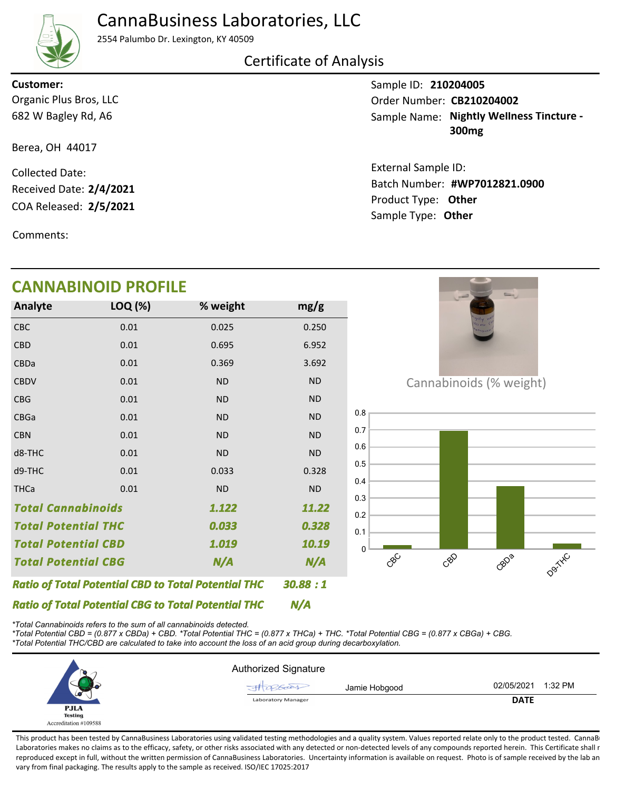# CannaBusiness Laboratories, LLC



2554 Palumbo Dr. Lexington, KY 40509

## Certificate of Analysis

682 W Bagley Rd, A6 Organic Plus Bros, LLC **Customer:**

Berea, OH 44017

COA Released: 2/5/2021 Collected Date: Received Date: **2/4/2021**

Comments:

# **CANNABINOID PROFILE**

| Analyte                                                    | LOQ (%) | % weight  | mg/g      |
|------------------------------------------------------------|---------|-----------|-----------|
| CBC                                                        | 0.01    | 0.025     | 0.250     |
| <b>CBD</b>                                                 | 0.01    | 0.695     | 6.952     |
| CBDa                                                       | 0.01    | 0.369     | 3.692     |
| <b>CBDV</b>                                                | 0.01    | <b>ND</b> | <b>ND</b> |
| <b>CBG</b>                                                 | 0.01    | <b>ND</b> | <b>ND</b> |
| CBGa                                                       | 0.01    | <b>ND</b> | <b>ND</b> |
| <b>CBN</b>                                                 | 0.01    | <b>ND</b> | <b>ND</b> |
| d8-THC                                                     | 0.01    | <b>ND</b> | <b>ND</b> |
| d9-THC                                                     | 0.01    | 0.033     | 0.328     |
| <b>THCa</b>                                                | 0.01    | <b>ND</b> | <b>ND</b> |
| <b>Total Cannabinoids</b><br>1.122                         |         |           | 11.22     |
| <b>Total Potential THC</b>                                 |         | 0.033     | 0.328     |
| <b>Total Potential CBD</b>                                 |         | 1.019     | 10.19     |
| <b>Total Potential CBG</b><br>N/A                          |         | N/A       |           |
| <b>Ratio of Total Potential CBD to Total Potential THC</b> |         |           | 30.88 : 1 |

Cannabinoids (% weight)



*\*Total Cannabinoids refers to the sum of all cannabinoids detected.*

*Ratio of Total Potential CBG to Total Potential THC*

*\*Total Potential CBD = (0.877 x CBDa) + CBD. \*Total Potential THC = (0.877 x THCa) + THC. \*Total Potential CBG = (0.877 x CBGa) + CBG. \*Total Potential THC/CBD are calculated to take into account the loss of an acid group during decarboxylation.*



*N/A*

This product has been tested by CannaBusiness Laboratories using validated testing methodologies and a quality system. Values reported relate only to the product tested. CannaB Laboratories makes no claims as to the efficacy, safety, or other risks associated with any detected or non-detected levels of any compounds reported herein. This Certificate shall r reproduced except in full, without the written permission of CannaBusiness Laboratories. Uncertainty information is available on request. Photo is of sample received by the lab an vary from final packaging. The results apply to the sample as received. ISO/IEC 17025:2017

Sample ID: **210204005** Sample Name: Nightly Wellness Tincture -**300mg** Order Number: CB210204002

Product Type: **Other 2/5/2021 #WP7012821.0900** Batch Number: External Sample ID: Sample Type: **Other**